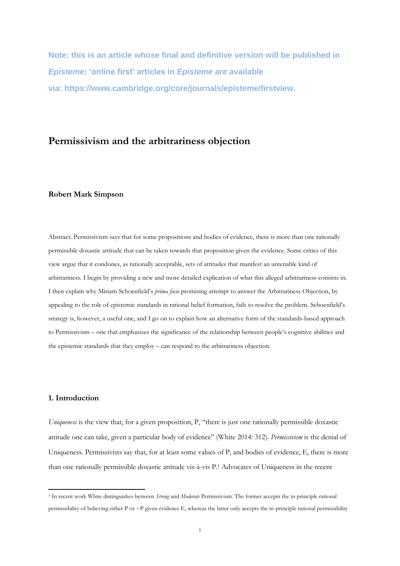**Note: this is an article whose final and definitive version will be published in**  *Episteme***; 'online first' articles in** *Episteme* **are available via: https://www.cambridge.org/core/journals/episteme/firstview.**

# **Permissivism and the arbitrariness objection**

## **Robert Mark Simpson**

Abstract. Permissivism says that for some propositions and bodies of evidence, there is more than one rationally permissible doxastic attitude that can be taken towards that proposition given the evidence. Some critics of this view argue that it condones, as rationally acceptable, sets of attitudes that manifest an untenable kind of arbitrariness*.* I begin by providing a new and more detailed explication of what this alleged arbitrariness consists in. I then explain why Miriam Schoenfield's *prima facie* promising attempt to answer the Arbitrariness Objection, by appealing to the role of epistemic standards in rational belief formation, fails to resolve the problem. Schoenfield's strategy is, however, a useful one, and I go on to explain how an alternative form of the standards-based approach to Permissivism – one that emphasizes the significance of the relationship between people's cognitive abilities and the epistemic standards that they employ – can respond to the arbitrariness objection.

#### **1. Introduction**

**.** 

*Uniqueness* is the view that, for a given proposition, P, "there is just one rationally permissible doxastic attitude one can take, given a particular body of evidence" (White 2014: 312). *Permissivism* is the denial of Uniqueness. Permissivists say that, for at least some values of P, and bodies of evidence, E, there is more than one rationally permissible doxastic attitude vis-à-vis P. <sup>1</sup> Advocates of Uniqueness in the recent

<sup>1</sup> In recent work White distinguishes between *Strong* and *Moderate* Permissivism. The former accepts the in-principle rational permissibility of believing either P or ~P given evidence E, whereas the latter only accepts the in-principle rational permissibility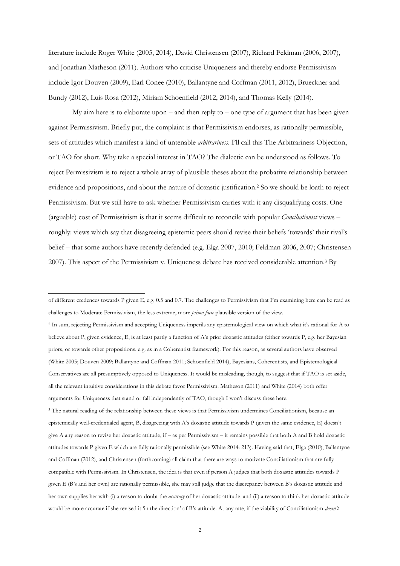literature include Roger White (2005, 2014), David Christensen (2007), Richard Feldman (2006, 2007), and Jonathan Matheson (2011). Authors who criticise Uniqueness and thereby endorse Permissivism include Igor Douven (2009), Earl Conee (2010), Ballantyne and Coffman (2011, 2012), Brueckner and Bundy (2012), Luis Rosa (2012), Miriam Schoenfield (2012, 2014), and Thomas Kelly (2014).

My aim here is to elaborate upon – and then reply to – one type of argument that has been given against Permissivism. Briefly put, the complaint is that Permissivism endorses, as rationally permissible, sets of attitudes which manifest a kind of untenable *arbitrariness*. I'll call this The Arbitrariness Objection, or TAO for short. Why take a special interest in TAO? The dialectic can be understood as follows. To reject Permissivism is to reject a whole array of plausible theses about the probative relationship between evidence and propositions, and about the nature of doxastic justification.<sup>2</sup> So we should be loath to reject Permissivism. But we still have to ask whether Permissivism carries with it any disqualifying costs. One (arguable) cost of Permissivism is that it seems difficult to reconcile with popular *Conciliationist* views – roughly: views which say that disagreeing epistemic peers should revise their beliefs 'towards' their rival's belief – that some authors have recently defended (e.g. Elga 2007, 2010; Feldman 2006, 2007; Christensen 2007). This aspect of the Permissivism v. Uniqueness debate has received considerable attention.<sup>3</sup> By

**.** 

<sup>2</sup> In sum, rejecting Permissivism and accepting Uniqueness imperils any epistemological view on which what it's rational for A to believe about P, given evidence, E, is at least partly a function of A's prior doxastic attitudes (either towards P, e.g. her Bayesian priors, or towards other propositions, e.g. as in a Coherentist framework). For this reason, as several authors have observed (White 2005; Douven 2009; Ballantyne and Coffman 2011; Schoenfield 2014), Bayesians, Coherentists, and Epistemological Conservatives are all presumptively opposed to Uniqueness. It would be misleading, though, to suggest that if TAO is set aside, all the relevant intuitive considerations in this debate favor Permissivism. Matheson (2011) and White (2014) both offer arguments for Uniqueness that stand or fall independently of TAO, though I won't discuss these here.

<sup>3</sup> The natural reading of the relationship between these views is that Permissivism undermines Conciliationism, because an epistemically well-credentialed agent, B, disagreeing with A's doxastic attitude towards P (given the same evidence, E) doesn't give A any reason to revise her doxastic attitude, if – as per Permissivism – it remains possible that both A and B hold doxastic attitudes towards P given E which are fully rationally permissible (see White 2014: 213). Having said that, Elga (2010), Ballantyne and Coffman (2012), and Christensen (forthcoming) all claim that there are ways to motivate Conciliationism that are fully compatible with Permissivism. In Christensen, the idea is that even if person A judges that both doxastic attitudes towards P given E (B's and her own) are rationally permissible, she may still judge that the discrepancy between B's doxastic attitude and her own supplies her with (i) a reason to doubt the *accuracy* of her doxastic attitude, and (ii) a reason to think her doxastic attitude would be more accurate if she revised it 'in the direction' of B's attitude. At any rate, if the viability of Conciliationism *doesn't*

of different credences towards P given E, e.g. 0.5 and 0.7. The challenges to Permissivism that I'm examining here can be read as challenges to Moderate Permissivism, the less extreme, more *prima facie* plausible version of the view.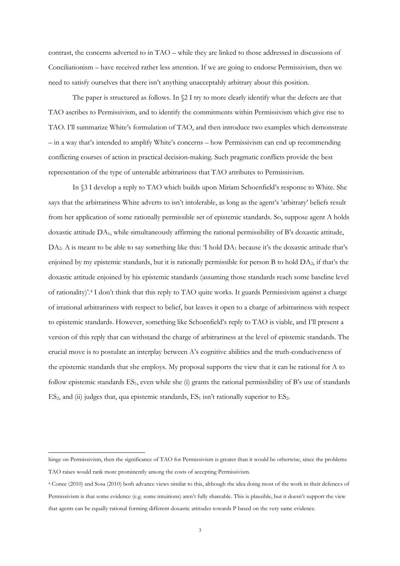contrast, the concerns adverted to in TAO – while they are linked to those addressed in discussions of Conciliationism – have received rather less attention. If we are going to endorse Permissivism, then we need to satisfy ourselves that there isn't anything unacceptably arbitrary about this position.

The paper is structured as follows. In  $\S2$  I try to more clearly identify what the defects are that TAO ascribes to Permissivism, and to identify the commitments within Permissivism which give rise to TAO. I'll summarize White's formulation of TAO, and then introduce two examples which demonstrate – in a way that's intended to amplify White's concerns – how Permissivism can end up recommending conflicting courses of action in practical decision-making. Such pragmatic conflicts provide the best representation of the type of untenable arbitrariness that TAO attributes to Permissivism.

In §3 I develop a reply to TAO which builds upon Miriam Schoenfield's response to White. She says that the arbitrariness White adverts to isn't intolerable, as long as the agent's 'arbitrary' beliefs result from her application of some rationally permissible set of epistemic standards. So, suppose agent A holds doxastic attitude DA1, while simultaneously affirming the rational permissibility of B's doxastic attitude,  $DA_2$ . A is meant to be able to say something like this: T hold  $DA_1$  because it's the doxastic attitude that's enjoined by my epistemic standards, but it is rationally permissible for person B to hold  $DA<sub>2</sub>$ , if that's the doxastic attitude enjoined by his epistemic standards (assuming those standards reach some baseline level of rationality)'.<sup>4</sup> I don't think that this reply to TAO quite works. It guards Permissivism against a charge of irrational arbitrariness with respect to belief, but leaves it open to a charge of arbitrariness with respect to epistemic standards. However, something like Schoenfield's reply to TAO is viable, and I'll present a version of this reply that can withstand the charge of arbitrariness at the level of epistemic standards. The crucial move is to postulate an interplay between A's cognitive abilities and the truth-conduciveness of the epistemic standards that she employs. My proposal supports the view that it can be rational for A to follow epistemic standards  $ES_1$ , even while she (i) grants the rational permissibility of B's use of standards  $ES<sub>2</sub>$ , and (ii) judges that, qua epistemic standards,  $ES<sub>1</sub>$  isn't rationally superior to  $ES<sub>2</sub>$ .

1

hinge on Permissivism, then the significance of TAO for Permissivism is greater than it would be otherwise, since the problems TAO raises would rank more prominently among the costs of accepting Permissivism.

<sup>4</sup> Conee (2010) and Sosa (2010) both advance views similar to this, although the idea doing most of the work in their defences of Permissivism is that some evidence (e.g. some intuitions) aren't fully shareable. This is plausible, but it doesn't support the view that agents can be equally rational forming different doxastic attitudes towards P based on the very same evidence.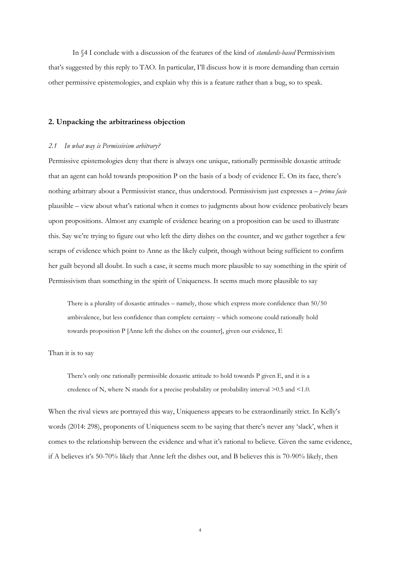In §4 I conclude with a discussion of the features of the kind of *standards-based* Permissivism that's suggested by this reply to TAO. In particular, I'll discuss how it is more demanding than certain other permissive epistemologies, and explain why this is a feature rather than a bug, so to speak.

#### **2. Unpacking the arbitrariness objection**

### *2.1 In what way is Permissivism arbitrary?*

Permissive epistemologies deny that there is always one unique, rationally permissible doxastic attitude that an agent can hold towards proposition P on the basis of a body of evidence E. On its face, there's nothing arbitrary about a Permissivist stance, thus understood. Permissivism just expresses a – *prima facie* plausible – view about what's rational when it comes to judgments about how evidence probatively bears upon propositions. Almost any example of evidence bearing on a proposition can be used to illustrate this. Say we're trying to figure out who left the dirty dishes on the counter, and we gather together a few scraps of evidence which point to Anne as the likely culprit, though without being sufficient to confirm her guilt beyond all doubt. In such a case, it seems much more plausible to say something in the spirit of Permissivism than something in the spirit of Uniqueness. It seems much more plausible to say

There is a plurality of doxastic attitudes – namely, those which express more confidence than 50/50 ambivalence, but less confidence than complete certainty – which someone could rationally hold towards proposition P [Anne left the dishes on the counter], given our evidence, E

Than it is to say

There's only one rationally permissible doxastic attitude to hold towards P given E, and it is a credence of N, where N stands for a precise probability or probability interval >0.5 and <1.0.

When the rival views are portrayed this way, Uniqueness appears to be extraordinarily strict. In Kelly's words (2014: 298), proponents of Uniqueness seem to be saying that there's never any 'slack', when it comes to the relationship between the evidence and what it's rational to believe. Given the same evidence, if A believes it's 50-70% likely that Anne left the dishes out, and B believes this is 70-90% likely, then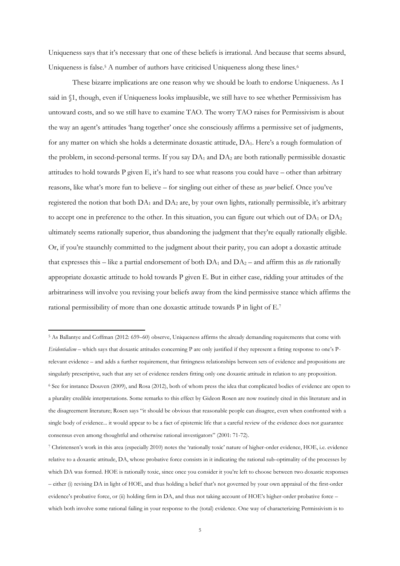Uniqueness says that it's necessary that one of these beliefs is irrational. And because that seems absurd, Uniqueness is false.<sup>5</sup> A number of authors have criticised Uniqueness along these lines.<sup>6</sup>

These bizarre implications are one reason why we should be loath to endorse Uniqueness. As I said in §1, though, even if Uniqueness looks implausible, we still have to see whether Permissivism has untoward costs, and so we still have to examine TAO. The worry TAO raises for Permissivism is about the way an agent's attitudes 'hang together' once she consciously affirms a permissive set of judgments, for any matter on which she holds a determinate doxastic attitude, DA1. Here's a rough formulation of the problem, in second-personal terms. If you say  $DA_1$  and  $DA_2$  are both rationally permissible doxastic attitudes to hold towards P given E, it's hard to see what reasons you could have – other than arbitrary reasons, like what's more fun to believe – for singling out either of these as *your* belief. Once you've registered the notion that both  $DA_1$  and  $DA_2$  are, by your own lights, rationally permissible, it's arbitrary to accept one in preference to the other. In this situation, you can figure out which out of  $DA_1$  or  $DA_2$ ultimately seems rationally superior, thus abandoning the judgment that they're equally rationally eligible. Or, if you're staunchly committed to the judgment about their parity, you can adopt a doxastic attitude that expresses this – like a partial endorsement of both  $DA_1$  and  $DA_2$  – and affirm this as *the* rationally appropriate doxastic attitude to hold towards P given E. But in either case, ridding your attitudes of the arbitrariness will involve you revising your beliefs away from the kind permissive stance which affirms the rational permissibility of more than one doxastic attitude towards P in light of E.<sup>7</sup>

**.** 

<sup>5</sup> As Ballantye and Coffman (2012: 659–60) observe, Uniqueness affirms the already demanding requirements that come with *Evidentialism* – which says that doxastic attitudes concerning P are only justified if they represent a fitting response to one's Prelevant evidence – and adds a further requirement, that fittingness relationships between sets of evidence and propositions are singularly prescriptive, such that any set of evidence renders fitting only one doxastic attitude in relation to any proposition. <sup>6</sup> See for instance Douven (2009), and Rosa (2012), both of whom press the idea that complicated bodies of evidence are open to a plurality credible interpretations. Some remarks to this effect by Gideon Rosen are now routinely cited in this literature and in the disagreement literature; Rosen says "it should be obvious that reasonable people can disagree, even when confronted with a single body of evidence... it would appear to be a fact of epistemic life that a careful review of the evidence does not guarantee consensus even among thoughtful and otherwise rational investigators" (2001: 71-72).

<sup>7</sup> Christensen's work in this area (especially 2010) notes the 'rationally toxic' nature of higher-order evidence, HOE, i.e. evidence relative to a doxastic attitude, DA, whose probative force consists in it indicating the rational sub-optimality of the processes by which DA was formed. HOE is rationally toxic, since once you consider it you're left to choose between two doxastic responses – either (i) revising DA in light of HOE, and thus holding a belief that's not governed by your own appraisal of the first-order evidence's probative force, or (ii) holding firm in DA, and thus not taking account of HOE's higher-order probative force – which both involve some rational failing in your response to the (total) evidence. One way of characterizing Permissivism is to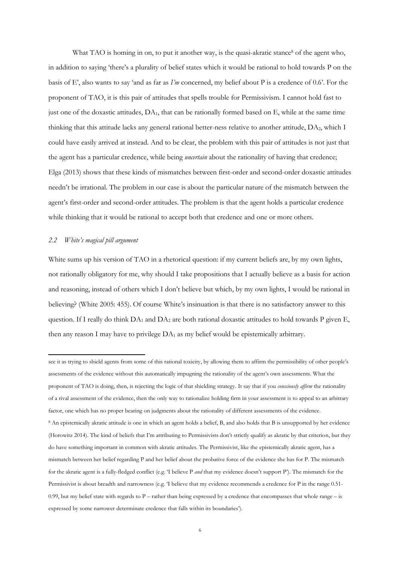What TAO is homing in on, to put it another way, is the quasi-akratic stance<sup>8</sup> of the agent who, in addition to saying 'there's a plurality of belief states which it would be rational to hold towards P on the basis of E', also wants to say 'and as far as *I'm* concerned, my belief about P is a credence of 0.6'. For the proponent of TAO, it is this pair of attitudes that spells trouble for Permissivism. I cannot hold fast to just one of the doxastic attitudes,  $DA_1$ , that can be rationally formed based on E, while at the same time thinking that this attitude lacks any general rational better-ness relative to another attitude, DA2, which I could have easily arrived at instead. And to be clear, the problem with this pair of attitudes is not just that the agent has a particular credence, while being *uncertain* about the rationality of having that credence; Elga (2013) shows that these kinds of mismatches between first-order and second-order doxastic attitudes needn't be irrational. The problem in our case is about the particular nature of the mismatch between the agent's first-order and second-order attitudes. The problem is that the agent holds a particular credence while thinking that it would be rational to accept both that credence and one or more others.

## *2.2 White's magical pill argument*

1

White sums up his version of TAO in a rhetorical question: if my current beliefs are, by my own lights, not rationally obligatory for me, why should I take propositions that I actually believe as a basis for action and reasoning, instead of others which I don't believe but which, by my own lights, I would be rational in believing? (White 2005: 455). Of course White's insinuation is that there is no satisfactory answer to this question. If I really do think DA<sub>1</sub> and DA<sub>2</sub> are both rational doxastic attitudes to hold towards P given E, then any reason I may have to privilege  $DA_1$  as my belief would be epistemically arbitrary.

see it as trying to shield agents from some of this rational toxicity, by allowing them to affirm the permissibility of other people's assessments of the evidence without this automatically impugning the rationality of the agent's own assessments. What the proponent of TAO is doing, then, is rejecting the logic of that shielding strategy. It say that if you *consciously affirm* the rationality of a rival assessment of the evidence, then the only way to rationalize holding firm in your assessment is to appeal to an arbitrary factor, one which has no proper bearing on judgments about the rationality of different assessments of the evidence. <sup>8</sup> An epistemically akratic attitude is one in which an agent holds a belief, B, and also holds that B is unsupported by her evidence (Horowitz 2014). The kind of beliefs that I'm attributing to Permissivists don't strictly qualify as akratic by that criterion, but they do have something important in common with akratic attitudes. The Permissivist, like the epistemically akratic agent, has a mismatch between her belief regarding P and her belief about the probative force of the evidence she has for P. The mismatch for the akratic agent is a fully-fledged conflict (e.g. 'I believe P *and* that my evidence doesn't support P'). The mismatch for the Permissivist is about breadth and narrowness (e.g. 'I believe that my evidence recommends a credence for P in the range 0.51- 0.99, but my belief state with regards to  $P$  – rather than being expressed by a credence that encompasses that whole range – is expressed by some narrower determinate credence that falls within its boundaries').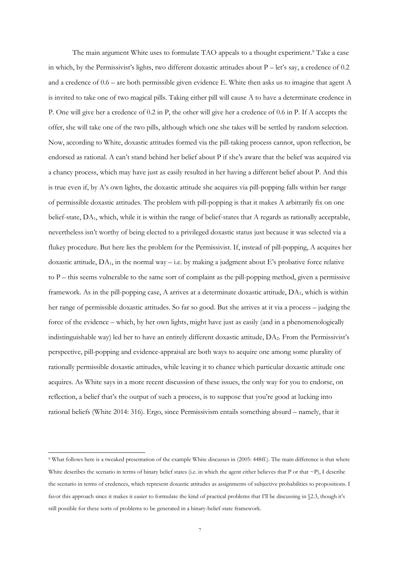The main argument White uses to formulate TAO appeals to a thought experiment.<sup>9</sup> Take a case in which, by the Permissivist's lights, two different doxastic attitudes about  $P - \text{let's say, a credence of } 0.2$ and a credence of 0.6 – are both permissible given evidence E. White then asks us to imagine that agent A is invited to take one of two magical pills. Taking either pill will cause A to have a determinate credence in P. One will give her a credence of 0.2 in P, the other will give her a credence of 0.6 in P. If A accepts the offer, she will take one of the two pills, although which one she takes will be settled by random selection. Now, according to White, doxastic attitudes formed via the pill-taking process cannot, upon reflection, be endorsed as rational. A can't stand behind her belief about P if she's aware that the belief was acquired via a chancy process, which may have just as easily resulted in her having a different belief about P. And this is true even if, by A's own lights, the doxastic attitude she acquires via pill-popping falls within her range of permissible doxastic attitudes. The problem with pill-popping is that it makes A arbitrarily fix on one belief-state, DA1, which, while it is within the range of belief-states that A regards as rationally acceptable, nevertheless isn't worthy of being elected to a privileged doxastic status just because it was selected via a flukey procedure. But here lies the problem for the Permissivist. If, instead of pill-popping, A acquires her doxastic attitude,  $DA_1$ , in the normal way – i.e. by making a judgment about E's probative force relative to P – this seems vulnerable to the same sort of complaint as the pill-popping method, given a permissive framework. As in the pill-popping case, A arrives at a determinate doxastic attitude, DA1, which is within her range of permissible doxastic attitudes. So far so good. But she arrives at it via a process – judging the force of the evidence – which, by her own lights, might have just as easily (and in a phenomenologically indistinguishable way) led her to have an entirely different doxastic attitude, DA2. From the Permissivist's perspective, pill-popping and evidence-appraisal are both ways to acquire one among some plurality of rationally permissible doxastic attitudes, while leaving it to chance which particular doxastic attitude one acquires. As White says in a more recent discussion of these issues, the only way for you to endorse, on reflection, a belief that's the output of such a process, is to suppose that you're good at lucking into rational beliefs (White 2014: 316). Ergo, since Permissivism entails something absurd – namely, that it

1

<sup>9</sup> What follows here is a tweaked presentation of the example White discusses in (2005: 448ff.). The main difference is that where White describes the scenario in terms of binary belief states (i.e. in which the agent either believes that P or that ~P), I describe the scenario in terms of credences, which represent doxastic attitudes as assignments of subjective probabilities to propositions. I favor this approach since it makes it easier to formulate the kind of practical problems that I'll be discussing in §2.3, though it's still possible for these sorts of problems to be generated in a binary-belief-state framework.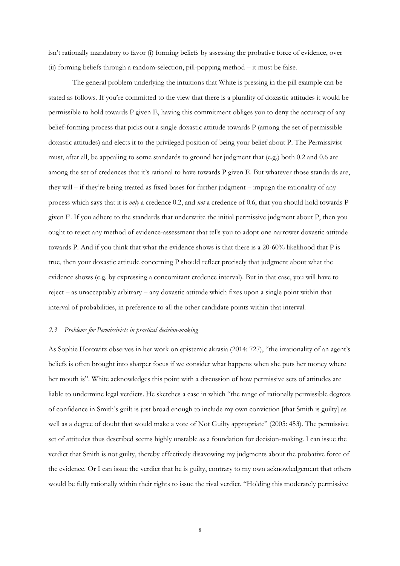isn't rationally mandatory to favor (i) forming beliefs by assessing the probative force of evidence, over (ii) forming beliefs through a random-selection, pill-popping method – it must be false.

The general problem underlying the intuitions that White is pressing in the pill example can be stated as follows. If you're committed to the view that there is a plurality of doxastic attitudes it would be permissible to hold towards P given E, having this commitment obliges you to deny the accuracy of any belief-forming process that picks out a single doxastic attitude towards P (among the set of permissible doxastic attitudes) and elects it to the privileged position of being your belief about P. The Permissivist must, after all, be appealing to some standards to ground her judgment that (e.g.) both 0.2 and 0.6 are among the set of credences that it's rational to have towards P given E. But whatever those standards are, they will – if they're being treated as fixed bases for further judgment – impugn the rationality of any process which says that it is *only* a credence 0.2, and *not* a credence of 0.6, that you should hold towards P given E. If you adhere to the standards that underwrite the initial permissive judgment about P, then you ought to reject any method of evidence-assessment that tells you to adopt one narrower doxastic attitude towards P. And if you think that what the evidence shows is that there is a 20-60% likelihood that P is true, then your doxastic attitude concerning P should reflect precisely that judgment about what the evidence shows (e.g. by expressing a concomitant credence interval). But in that case, you will have to reject – as unacceptably arbitrary – any doxastic attitude which fixes upon a single point within that interval of probabilities, in preference to all the other candidate points within that interval.

#### *2.3 Problems for Permissivists in practical decision-making*

As Sophie Horowitz observes in her work on epistemic akrasia (2014: 727), "the irrationality of an agent's beliefs is often brought into sharper focus if we consider what happens when she puts her money where her mouth is". White acknowledges this point with a discussion of how permissive sets of attitudes are liable to undermine legal verdicts. He sketches a case in which "the range of rationally permissible degrees of confidence in Smith's guilt is just broad enough to include my own conviction [that Smith is guilty] as well as a degree of doubt that would make a vote of Not Guilty appropriate" (2005: 453). The permissive set of attitudes thus described seems highly unstable as a foundation for decision-making. I can issue the verdict that Smith is not guilty, thereby effectively disavowing my judgments about the probative force of the evidence. Or I can issue the verdict that he is guilty, contrary to my own acknowledgement that others would be fully rationally within their rights to issue the rival verdict. "Holding this moderately permissive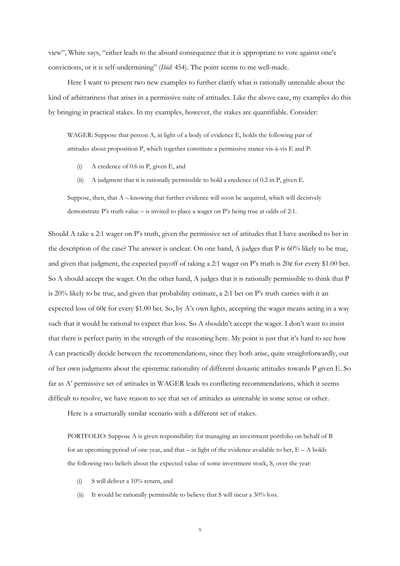view", White says, "either leads to the absurd consequence that it is appropriate to vote against one's convictions, or it is self-undermining" (*Ibid*: 454). The point seems to me well-made.

Here I want to present two new examples to further clarify what is rationally untenable about the kind of arbitrariness that arises in a permissive suite of attitudes. Like the above case, my examples do this by bringing in practical stakes. In my examples, however, the stakes are quantifiable. Consider:

WAGER: Suppose that person A, in light of a body of evidence E, holds the following pair of attitudes about proposition P, which together constitute a permissive stance vis-à-vis E and P:

- (i) A credence of 0.6 in P, given E, and
- (ii) A judgment that it is rationally permissible to hold a credence of 0.2 in P, given E.

Suppose, then, that  $A$  – knowing that further evidence will soon be acquired, which will decisively demonstrate P's truth value – is invited to place a wager on P's being true at odds of 2:1.

Should A take a 2:1 wager on P's truth, given the permissive set of attitudes that I have ascribed to her in the description of the case? The answer is unclear. On one hand, A judges that P is 60% likely to be true, and given that judgment, the expected payoff of taking a 2:1 wager on P's truth is 20¢ for every \$1.00 bet. So A should accept the wager. On the other hand, A judges that it is rationally permissible to think that P is 20% likely to be true, and given that probability estimate, a 2:1 bet on P's truth carries with it an expected loss of 60¢ for every \$1.00 bet. So, by A's own lights, accepting the wager means acting in a way such that it would be rational to expect that loss. So A shouldn't accept the wager. I don't want to insist that there is perfect parity in the strength of the reasoning here. My point is just that it's hard to see how A can practically decide between the recommendations, since they both arise, quite straightforwardly, out of her own judgments about the epistemic rationality of different doxastic attitudes towards P given E. So far as A' permissive set of attitudes in WAGER leads to conflicting recommendations, which it seems difficult to resolve, we have reason to see that set of attitudes as untenable in some sense or other.

Here is a structurally similar scenario with a different set of stakes.

PORTFOLIO: Suppose A is given responsibility for managing an investment portfolio on behalf of B for an upcoming period of one year, and that  $-$  in light of the evidence available to her,  $E - A$  holds the following two beliefs about the expected value of some investment stock, S, over the year:

- (i) S will deliver a 10% return, and
- (ii) It would be rationally permissible to believe that S will incur a 30% loss.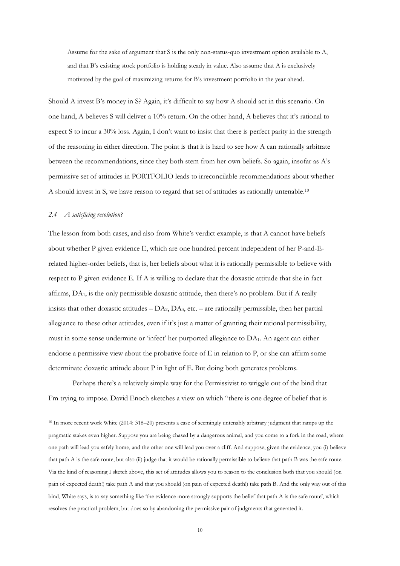Assume for the sake of argument that S is the only non-status-quo investment option available to A, and that B's existing stock portfolio is holding steady in value. Also assume that A is exclusively motivated by the goal of maximizing returns for B's investment portfolio in the year ahead.

Should A invest B's money in S? Again, it's difficult to say how A should act in this scenario. On one hand, A believes S will deliver a 10% return. On the other hand, A believes that it's rational to expect S to incur a 30% loss. Again, I don't want to insist that there is perfect parity in the strength of the reasoning in either direction. The point is that it is hard to see how A can rationally arbitrate between the recommendations, since they both stem from her own beliefs. So again, insofar as A's permissive set of attitudes in PORTFOLIO leads to irreconcilable recommendations about whether A should invest in S, we have reason to regard that set of attitudes as rationally untenable.<sup>10</sup>

#### *2.4 A satisficing resolution?*

1

The lesson from both cases, and also from White's verdict example, is that A cannot have beliefs about whether P given evidence E, which are one hundred percent independent of her P-and-Erelated higher-order beliefs, that is, her beliefs about what it is rationally permissible to believe with respect to P given evidence E. If A is willing to declare that the doxastic attitude that she in fact affirms,  $DA<sub>1</sub>$ , is the only permissible doxastic attitude, then there's no problem. But if  $A$  really insists that other doxastic attitudes  $-DA_2$ ,  $DA_3$ , etc. – are rationally permissible, then her partial allegiance to these other attitudes, even if it's just a matter of granting their rational permissibility, must in some sense undermine or 'infect' her purported allegiance to DA1. An agent can either endorse a permissive view about the probative force of E in relation to P, or she can affirm some determinate doxastic attitude about P in light of E. But doing both generates problems.

Perhaps there's a relatively simple way for the Permissivist to wriggle out of the bind that I'm trying to impose. David Enoch sketches a view on which "there is one degree of belief that is

<sup>10</sup> In more recent work White (2014: 318–20) presents a case of seemingly untenably arbitrary judgment that ramps up the pragmatic stakes even higher. Suppose you are being chased by a dangerous animal, and you come to a fork in the road, where one path will lead you safely home, and the other one will lead you over a cliff. And suppose, given the evidence, you (i) believe that path A is the safe route, but also (ii) judge that it would be rationally permissible to believe that path B was the safe route. Via the kind of reasoning I sketch above, this set of attitudes allows you to reason to the conclusion both that you should (on pain of expected death!) take path A and that you should (on pain of expected death!) take path B. And the only way out of this bind, White says, is to say something like 'the evidence more strongly supports the belief that path A is the safe route', which resolves the practical problem, but does so by abandoning the permissive pair of judgments that generated it.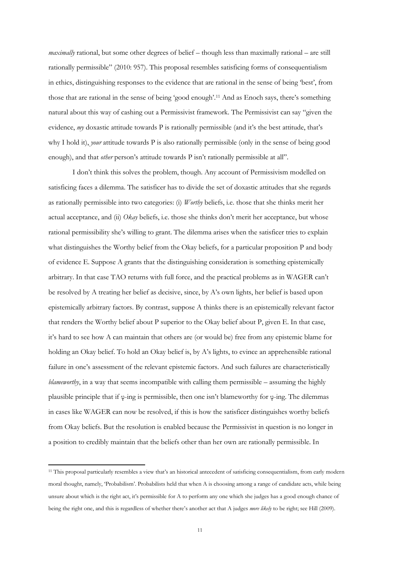*maximally* rational, but some other degrees of belief – though less than maximally rational – are still rationally permissible" (2010: 957). This proposal resembles satisficing forms of consequentialism in ethics, distinguishing responses to the evidence that are rational in the sense of being 'best', from those that are rational in the sense of being 'good enough'.<sup>11</sup> And as Enoch says, there's something natural about this way of cashing out a Permissivist framework. The Permissivist can say "given the evidence, *my* doxastic attitude towards P is rationally permissible (and it's the best attitude, that's why I hold it), *your* attitude towards P is also rationally permissible (only in the sense of being good enough), and that *other* person's attitude towards P isn't rationally permissible at all".

I don't think this solves the problem, though. Any account of Permissivism modelled on satisficing faces a dilemma. The satisficer has to divide the set of doxastic attitudes that she regards as rationally permissible into two categories: (i) *Worthy* beliefs, i.e. those that she thinks merit her actual acceptance, and (ii) *Okay* beliefs, i.e. those she thinks don't merit her acceptance, but whose rational permissibility she's willing to grant. The dilemma arises when the satisficer tries to explain what distinguishes the Worthy belief from the Okay beliefs, for a particular proposition P and body of evidence E. Suppose A grants that the distinguishing consideration is something epistemically arbitrary. In that case TAO returns with full force, and the practical problems as in WAGER can't be resolved by A treating her belief as decisive, since, by A's own lights, her belief is based upon epistemically arbitrary factors. By contrast, suppose A thinks there is an epistemically relevant factor that renders the Worthy belief about P superior to the Okay belief about P, given E. In that case, it's hard to see how A can maintain that others are (or would be) free from any epistemic blame for holding an Okay belief. To hold an Okay belief is, by A's lights, to evince an apprehensible rational failure in one's assessment of the relevant epistemic factors. And such failures are characteristically *blameworthy*, in a way that seems incompatible with calling them permissible – assuming the highly plausible principle that if φ-ing is permissible, then one isn't blameworthy for φ-ing. The dilemmas in cases like WAGER can now be resolved, if this is how the satisficer distinguishes worthy beliefs from Okay beliefs. But the resolution is enabled because the Permissivist in question is no longer in a position to credibly maintain that the beliefs other than her own are rationally permissible. In

**.** 

<sup>11</sup> This proposal particularly resembles a view that's an historical antecedent of satisficing consequentialism, from early modern moral thought, namely, 'Probabilism'. Probabilists held that when A is choosing among a range of candidate acts, while being unsure about which is the right act, it's permissible for A to perform any one which she judges has a good enough chance of being the right one, and this is regardless of whether there's another act that A judges *more likely* to be right; see Hill (2009).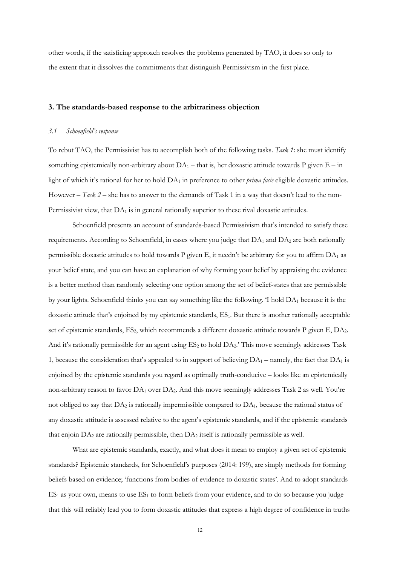other words, if the satisficing approach resolves the problems generated by TAO, it does so only to the extent that it dissolves the commitments that distinguish Permissivism in the first place.

#### **3. The standards-based response to the arbitrariness objection**

#### *3.1 Schoenfield's response*

To rebut TAO, the Permissivist has to accomplish both of the following tasks. *Task 1*: she must identify something epistemically non-arbitrary about  $DA_1$  – that is, her doxastic attitude towards P given  $E - in$ light of which it's rational for her to hold DA<sup>1</sup> in preference to other *prima facie* eligible doxastic attitudes. However – *Task 2* – she has to answer to the demands of Task 1 in a way that doesn't lead to the non-Permissivist view, that  $DA<sub>1</sub>$  is in general rationally superior to these rival doxastic attitudes.

Schoenfield presents an account of standards-based Permissivism that's intended to satisfy these requirements. According to Schoenfield, in cases where you judge that  $DA_1$  and  $DA_2$  are both rationally permissible doxastic attitudes to hold towards P given E, it needn't be arbitrary for you to affirm  $DA_1$  as your belief state, and you can have an explanation of why forming your belief by appraising the evidence is a better method than randomly selecting one option among the set of belief-states that are permissible by your lights. Schoenfield thinks you can say something like the following. 'I hold DA<sup>1</sup> because it is the doxastic attitude that's enjoined by my epistemic standards, ES1. But there is another rationally acceptable set of epistemic standards, ES<sub>2</sub>, which recommends a different doxastic attitude towards P given E, DA<sub>2</sub>. And it's rationally permissible for an agent using  $ES_2$  to hold  $DA_2$ . This move seemingly addresses Task 1, because the consideration that's appealed to in support of believing  $DA_1$  – namely, the fact that  $DA_1$  is enjoined by the epistemic standards you regard as optimally truth-conducive – looks like an epistemically non-arbitrary reason to favor  $DA_1$  over  $DA_2$ . And this move seemingly addresses Task 2 as well. You're not obliged to say that DA<sup>2</sup> is rationally impermissible compared to DA1, because the rational status of any doxastic attitude is assessed relative to the agent's epistemic standards, and if the epistemic standards that enjoin DA<sup>2</sup> are rationally permissible, then DA<sup>2</sup> itself is rationally permissible as well.

What are epistemic standards, exactly, and what does it mean to employ a given set of epistemic standards? Epistemic standards, for Schoenfield's purposes (2014: 199), are simply methods for forming beliefs based on evidence; 'functions from bodies of evidence to doxastic states'. And to adopt standards  $ES<sub>1</sub>$  as your own, means to use  $ES<sub>1</sub>$  to form beliefs from your evidence, and to do so because you judge that this will reliably lead you to form doxastic attitudes that express a high degree of confidence in truths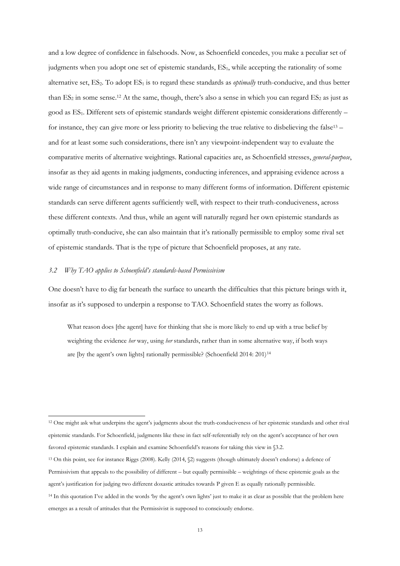and a low degree of confidence in falsehoods. Now, as Schoenfield concedes, you make a peculiar set of judgments when you adopt one set of epistemic standards, ES<sub>1</sub>, while accepting the rationality of some alternative set, ES<sub>2</sub>. To adopt ES<sub>1</sub> is to regard these standards as *optimally* truth-conducive, and thus better than  $ES_2$  in some sense.<sup>12</sup> At the same, though, there's also a sense in which you can regard  $ES_2$  as just as good as ES1. Different sets of epistemic standards weight different epistemic considerations differently – for instance, they can give more or less priority to believing the true relative to disbelieving the false<sup>13</sup> – and for at least some such considerations, there isn't any viewpoint-independent way to evaluate the comparative merits of alternative weightings. Rational capacities are, as Schoenfield stresses, *general-purpose*, insofar as they aid agents in making judgments, conducting inferences, and appraising evidence across a wide range of circumstances and in response to many different forms of information. Different epistemic standards can serve different agents sufficiently well, with respect to their truth-conduciveness, across these different contexts. And thus, while an agent will naturally regard her own epistemic standards as optimally truth-conducive, she can also maintain that it's rationally permissible to employ some rival set of epistemic standards. That is the type of picture that Schoenfield proposes, at any rate.

## *3.2 Why TAO applies to Schoenfield's standards-based Permissivism*

1

One doesn't have to dig far beneath the surface to unearth the difficulties that this picture brings with it, insofar as it's supposed to underpin a response to TAO. Schoenfield states the worry as follows.

What reason does [the agent] have for thinking that she is more likely to end up with a true belief by weighting the evidence *her* way, using *her* standards, rather than in some alternative way, if both ways are [by the agent's own lights] rationally permissible? (Schoenfield 2014: 201)<sup>14</sup>

- <sup>13</sup> On this point, see for instance Riggs (2008). Kelly (2014, §2) suggests (though ultimately doesn't endorse) a defence of Permissivism that appeals to the possibility of different – but equally permissible – weightings of these epistemic goals as the
- agent's justification for judging two different doxastic attitudes towards P given E as equally rationally permissible.
- <sup>14</sup> In this quotation I've added in the words 'by the agent's own lights' just to make it as clear as possible that the problem here emerges as a result of attitudes that the Permissivist is supposed to consciously endorse.

<sup>12</sup> One might ask what underpins the agent's judgments about the truth-conduciveness of her epistemic standards and other rival epistemic standards. For Schoenfield, judgments like these in fact self-referentially rely on the agent's acceptance of her own favored epistemic standards. I explain and examine Schoenfield's reasons for taking this view in §3.2.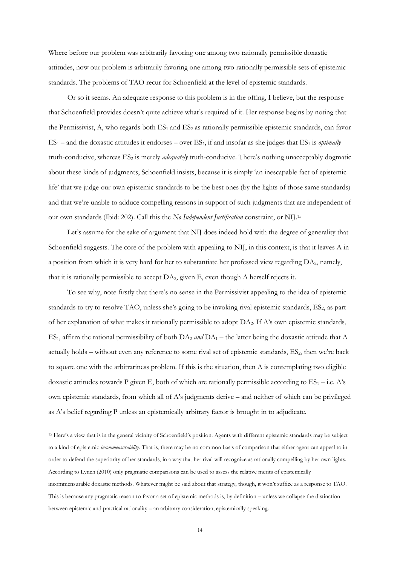Where before our problem was arbitrarily favoring one among two rationally permissible doxastic attitudes, now our problem is arbitrarily favoring one among two rationally permissible sets of epistemic standards. The problems of TAO recur for Schoenfield at the level of epistemic standards.

Or so it seems. An adequate response to this problem is in the offing, I believe, but the response that Schoenfield provides doesn't quite achieve what's required of it. Her response begins by noting that the Permissivist, A, who regards both  $ES_1$  and  $ES_2$  as rationally permissible epistemic standards, can favor  $ES_1$  – and the doxastic attitudes it endorses – over  $ES_2$ , if and insofar as she judges that  $ES_1$  is *optimally* truth-conducive, whereas ES<sub>2</sub> is merely *adequately* truth-conducive. There's nothing unacceptably dogmatic about these kinds of judgments, Schoenfield insists, because it is simply 'an inescapable fact of epistemic life' that we judge our own epistemic standards to be the best ones (by the lights of those same standards) and that we're unable to adduce compelling reasons in support of such judgments that are independent of our own standards (Ibid: 202). Call this the *No Independent Justification* constraint, or NIJ.<sup>15</sup>

Let's assume for the sake of argument that NIJ does indeed hold with the degree of generality that Schoenfield suggests. The core of the problem with appealing to NIJ, in this context, is that it leaves A in a position from which it is very hard for her to substantiate her professed view regarding DA2, namely, that it is rationally permissible to accept DA2, given E, even though A herself rejects it.

To see why, note firstly that there's no sense in the Permissivist appealing to the idea of epistemic standards to try to resolve TAO, unless she's going to be invoking rival epistemic standards, ES<sub>2</sub>, as part of her explanation of what makes it rationally permissible to adopt DA2. If A's own epistemic standards, ES<sub>1</sub>, affirm the rational permissibility of both  $DA_2$  *and*  $DA_1$  – the latter being the doxastic attitude that A actually holds – without even any reference to some rival set of epistemic standards, ES<sub>2</sub>, then we're back to square one with the arbitrariness problem. If this is the situation, then A is contemplating two eligible doxastic attitudes towards P given E, both of which are rationally permissible according to  $ES_1 - i.e.$  A's own epistemic standards, from which all of A's judgments derive – and neither of which can be privileged as A's belief regarding P unless an epistemically arbitrary factor is brought in to adjudicate.

**.** 

<sup>15</sup> Here's a view that is in the general vicinity of Schoenfield's position. Agents with different epistemic standards may be subject to a kind of epistemic *incommensurability*. That is, there may be no common basis of comparison that either agent can appeal to in order to defend the superiority of her standards, in a way that her rival will recognize as rationally compelling by her own lights. According to Lynch (2010) only pragmatic comparisons can be used to assess the relative merits of epistemically

incommensurable doxastic methods. Whatever might be said about that strategy, though, it won't suffice as a response to TAO. This is because any pragmatic reason to favor a set of epistemic methods is, by definition – unless we collapse the distinction between epistemic and practical rationality – an arbitrary consideration, epistemically speaking.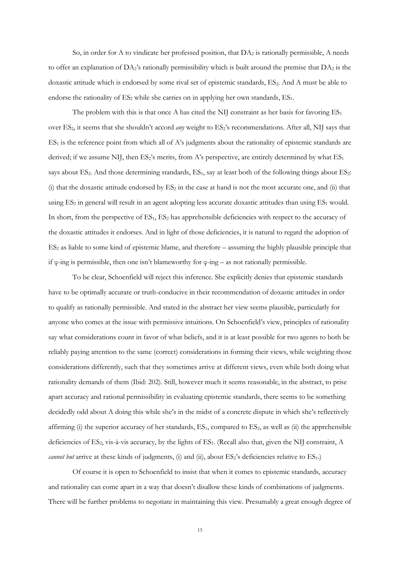So, in order for A to vindicate her professed position, that  $DA_2$  is rationally permissible, A needs to offer an explanation of  $DA_2$ 's rationally permissibility which is built around the premise that  $DA_2$  is the doxastic attitude which is endorsed by some rival set of epistemic standards, ES<sub>2</sub>. And A must be able to endorse the rationality of  $ES_2$  while she carries on in applying her own standards,  $ES_1$ .

The problem with this is that once A has cited the NIJ constraint as her basis for favoring  $ES_1$ over ES<sub>2</sub>, it seems that she shouldn't accord *any* weight to ES<sub>2</sub>'s recommendations. After all, NIJ says that  $ES<sub>1</sub>$  is the reference point from which all of A's judgments about the rationality of epistemic standards are derived; if we assume NIJ, then  $ES_2$ 's merits, from A's perspective, are entirely determined by what  $ES_1$ says about ES<sub>2</sub>. And those determining standards, ES<sub>1</sub>, say at least both of the following things about ES<sub>2</sub>: (i) that the doxastic attitude endorsed by  $ES_2$  in the case at hand is not the most accurate one, and (ii) that using  $ES_2$  in general will result in an agent adopting less accurate doxastic attitudes than using  $ES_1$  would. In short, from the perspective of  $ES_1$ ,  $ES_2$  has apprehensible deficiencies with respect to the accuracy of the doxastic attitudes it endorses. And in light of those deficiencies, it is natural to regard the adoption of  $ES<sub>2</sub>$  as liable to some kind of epistemic blame, and therefore – assuming the highly plausible principle that if φ-ing is permissible, then one isn't blameworthy for φ-ing – as not rationally permissible.

To be clear, Schoenfield will reject this inference. She explicitly denies that epistemic standards have to be optimally accurate or truth-conducive in their recommendation of doxastic attitudes in order to qualify as rationally permissible. And stated in the abstract her view seems plausible, particularly for anyone who comes at the issue with permissive intuitions. On Schoenfield's view, principles of rationality say what considerations count in favor of what beliefs, and it is at least possible for two agents to both be reliably paying attention to the same (correct) considerations in forming their views, while weighting those considerations differently, such that they sometimes arrive at different views, even while both doing what rationality demands of them (Ibid: 202). Still, however much it seems reasonable, in the abstract, to prise apart accuracy and rational permissibility in evaluating epistemic standards, there seems to be something decidedly odd about A doing this while she's in the midst of a concrete dispute in which she's reflectively affirming (i) the superior accuracy of her standards,  $ES_1$ , compared to  $ES_2$ , as well as (ii) the apprehensible deficiencies of ES<sub>2</sub>, vis-à-vis accuracy, by the lights of ES<sub>1</sub>. (Recall also that, given the NIJ constraint, A *cannot but* arrive at these kinds of judgments, (i) and (ii), about ES<sub>2</sub>'s deficiencies relative to ES<sub>1</sub>.)

Of course it is open to Schoenfield to insist that when it comes to epistemic standards, accuracy and rationality can come apart in a way that doesn't disallow these kinds of combinations of judgments. There will be further problems to negotiate in maintaining this view. Presumably a great enough degree of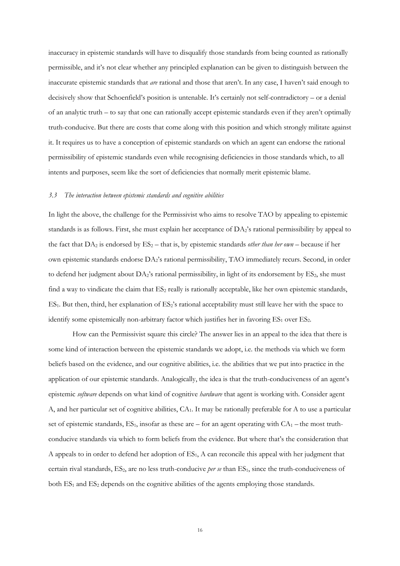inaccuracy in epistemic standards will have to disqualify those standards from being counted as rationally permissible, and it's not clear whether any principled explanation can be given to distinguish between the inaccurate epistemic standards that *are* rational and those that aren't. In any case, I haven't said enough to decisively show that Schoenfield's position is untenable. It's certainly not self-contradictory – or a denial of an analytic truth – to say that one can rationally accept epistemic standards even if they aren't optimally truth-conducive. But there are costs that come along with this position and which strongly militate against it. It requires us to have a conception of epistemic standards on which an agent can endorse the rational permissibility of epistemic standards even while recognising deficiencies in those standards which, to all intents and purposes, seem like the sort of deficiencies that normally merit epistemic blame.

#### *3.3 The interaction between epistemic standards and cognitive abilities*

In light the above, the challenge for the Permissivist who aims to resolve TAO by appealing to epistemic standards is as follows. First, she must explain her acceptance of DA2's rational permissibility by appeal to the fact that  $DA_2$  is endorsed by  $ES_2$  – that is, by epistemic standards *other than her*  $own$  – because if her own epistemic standards endorse DA2's rational permissibility, TAO immediately recurs. Second, in order to defend her judgment about  $DA_2$ 's rational permissibility, in light of its endorsement by  $ES_2$ , she must find a way to vindicate the claim that  $ES_2$  really is rationally acceptable, like her own epistemic standards,  $ES<sub>1</sub>$ . But then, third, her explanation of  $ES<sub>2</sub>'s$  rational acceptability must still leave her with the space to identify some epistemically non-arbitrary factor which justifies her in favoring  $ES_1$  over  $ES_2$ .

How can the Permissivist square this circle? The answer lies in an appeal to the idea that there is some kind of interaction between the epistemic standards we adopt, i.e. the methods via which we form beliefs based on the evidence, and our cognitive abilities, i.e. the abilities that we put into practice in the application of our epistemic standards. Analogically, the idea is that the truth-conduciveness of an agent's epistemic *software* depends on what kind of cognitive *hardware* that agent is working with. Consider agent A, and her particular set of cognitive abilities, CA1. It may be rationally preferable for A to use a particular set of epistemic standards,  $ES_1$ , insofar as these are – for an agent operating with  $CA_1$  – the most truthconducive standards via which to form beliefs from the evidence. But where that's the consideration that A appeals to in order to defend her adoption of  $ES<sub>1</sub>$ , A can reconcile this appeal with her judgment that certain rival standards, ES<sub>2</sub>, are no less truth-conducive *per se* than ES<sub>1</sub>, since the truth-conduciveness of both  $ES_1$  and  $ES_2$  depends on the cognitive abilities of the agents employing those standards.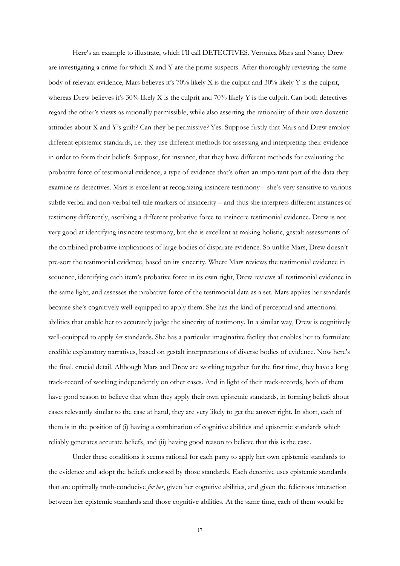Here's an example to illustrate, which I'll call DETECTIVES. Veronica Mars and Nancy Drew are investigating a crime for which X and Y are the prime suspects. After thoroughly reviewing the same body of relevant evidence, Mars believes it's 70% likely X is the culprit and 30% likely Y is the culprit, whereas Drew believes it's 30% likely X is the culprit and 70% likely Y is the culprit. Can both detectives regard the other's views as rationally permissible, while also asserting the rationality of their own doxastic attitudes about X and Y's guilt? Can they be permissive? Yes. Suppose firstly that Mars and Drew employ different epistemic standards, i.e. they use different methods for assessing and interpreting their evidence in order to form their beliefs. Suppose, for instance, that they have different methods for evaluating the probative force of testimonial evidence, a type of evidence that's often an important part of the data they examine as detectives. Mars is excellent at recognizing insincere testimony – she's very sensitive to various subtle verbal and non-verbal tell-tale markers of insincerity – and thus she interprets different instances of testimony differently, ascribing a different probative force to insincere testimonial evidence. Drew is not very good at identifying insincere testimony, but she is excellent at making holistic, gestalt assessments of the combined probative implications of large bodies of disparate evidence. So unlike Mars, Drew doesn't pre-sort the testimonial evidence, based on its sincerity. Where Mars reviews the testimonial evidence in sequence, identifying each item's probative force in its own right, Drew reviews all testimonial evidence in the same light, and assesses the probative force of the testimonial data as a set. Mars applies her standards because she's cognitively well-equipped to apply them. She has the kind of perceptual and attentional abilities that enable her to accurately judge the sincerity of testimony. In a similar way, Drew is cognitively well-equipped to apply *her* standards. She has a particular imaginative facility that enables her to formulate credible explanatory narratives, based on gestalt interpretations of diverse bodies of evidence. Now here's the final, crucial detail. Although Mars and Drew are working together for the first time, they have a long track-record of working independently on other cases. And in light of their track-records, both of them have good reason to believe that when they apply their own epistemic standards, in forming beliefs about cases relevantly similar to the case at hand, they are very likely to get the answer right. In short, each of them is in the position of (i) having a combination of cognitive abilities and epistemic standards which reliably generates accurate beliefs, and (ii) having good reason to believe that this is the case.

Under these conditions it seems rational for each party to apply her own epistemic standards to the evidence and adopt the beliefs endorsed by those standards. Each detective uses epistemic standards that are optimally truth-conducive *for her*, given her cognitive abilities, and given the felicitous interaction between her epistemic standards and those cognitive abilities. At the same time, each of them would be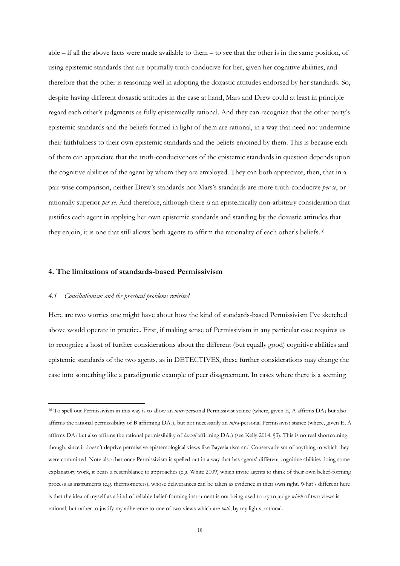able  $-$  if all the above facts were made available to them  $-$  to see that the other is in the same position, of using epistemic standards that are optimally truth-conducive for her, given her cognitive abilities, and therefore that the other is reasoning well in adopting the doxastic attitudes endorsed by her standards. So, despite having different doxastic attitudes in the case at hand, Mars and Drew could at least in principle regard each other's judgments as fully epistemically rational. And they can recognize that the other party's epistemic standards and the beliefs formed in light of them are rational, in a way that need not undermine their faithfulness to their own epistemic standards and the beliefs enjoined by them. This is because each of them can appreciate that the truth-conduciveness of the epistemic standards in question depends upon the cognitive abilities of the agent by whom they are employed. They can both appreciate, then, that in a pair-wise comparison, neither Drew's standards nor Mars's standards are more truth-conducive *per se*, or rationally superior *per se*. And therefore, although there *is* an epistemically non-arbitrary consideration that justifies each agent in applying her own epistemic standards and standing by the doxastic attitudes that they enjoin, it is one that still allows both agents to affirm the rationality of each other's beliefs.<sup>16</sup>

#### **4. The limitations of standards-based Permissivism**

#### *4.1 Conciliationism and the practical problems revisited*

**.** 

Here are two worries one might have about how the kind of standards-based Permissivism I've sketched above would operate in practice. First, if making sense of Permissivism in any particular case requires us to recognize a host of further considerations about the different (but equally good) cognitive abilities and epistemic standards of the two agents, as in DETECTIVES, these further considerations may change the case into something like a paradigmatic example of peer disagreement. In cases where there is a seeming

<sup>16</sup> To spell out Permissivism in this way is to allow an *inter*-personal Permissivist stance (where, given E, A affirms DA<sup>1</sup> but also affirms the rational permissibility of B affirming DA2), but not necessarily an *intra*-personal Permissivist stance (where, given E, A affirms DA<sup>1</sup> but also affirms the rational permissibility of *herself* affirming DA2) (see Kelly 2014, §3). This is no real shortcoming, though, since it doesn't deprive permissive epistemological views like Bayesianism and Conservativism of anything to which they were committed. Note also that once Permissivism is spelled out in a way that has agents' different cognitive abilities doing some explanatory work, it bears a resemblance to approaches (e.g. White 2009) which invite agents to think of their own belief-forming process as instruments (e.g. thermometers), whose deliverances can be taken as evidence in their own right. What's different here is that the idea of myself as a kind of reliable belief-forming instrument is not being used to try to judge *which* of two views is rational, but rather to justify my adherence to one of two views which are *both*, by my lights, rational.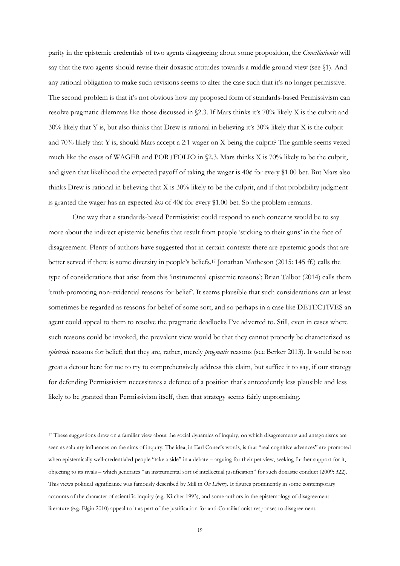parity in the epistemic credentials of two agents disagreeing about some proposition, the *Conciliationist* will say that the two agents should revise their doxastic attitudes towards a middle ground view (see §1). And any rational obligation to make such revisions seems to alter the case such that it's no longer permissive. The second problem is that it's not obvious how my proposed form of standards-based Permissivism can resolve pragmatic dilemmas like those discussed in §2.3. If Mars thinks it's 70% likely X is the culprit and 30% likely that Y is, but also thinks that Drew is rational in believing it's 30% likely that X is the culprit and 70% likely that Y is, should Mars accept a 2:1 wager on X being the culprit? The gamble seems vexed much like the cases of WAGER and PORTFOLIO in §2.3. Mars thinks X is 70% likely to be the culprit, and given that likelihood the expected payoff of taking the wager is 40¢ for every \$1.00 bet. But Mars also thinks Drew is rational in believing that X is 30% likely to be the culprit, and if that probability judgment is granted the wager has an expected *loss* of 40¢ for every \$1.00 bet. So the problem remains.

One way that a standards-based Permissivist could respond to such concerns would be to say more about the indirect epistemic benefits that result from people 'sticking to their guns' in the face of disagreement. Plenty of authors have suggested that in certain contexts there are epistemic goods that are better served if there is some diversity in people's beliefs.<sup>17</sup> Jonathan Matheson (2015: 145 ff.) calls the type of considerations that arise from this 'instrumental epistemic reasons'; Brian Talbot (2014) calls them 'truth-promoting non-evidential reasons for belief'. It seems plausible that such considerations can at least sometimes be regarded as reasons for belief of some sort, and so perhaps in a case like DETECTIVES an agent could appeal to them to resolve the pragmatic deadlocks I've adverted to. Still, even in cases where such reasons could be invoked, the prevalent view would be that they cannot properly be characterized as *epistemic* reasons for belief; that they are, rather, merely *pragmatic* reasons (see Berker 2013). It would be too great a detour here for me to try to comprehensively address this claim, but suffice it to say, if our strategy for defending Permissivism necessitates a defence of a position that's antecedently less plausible and less likely to be granted than Permissivism itself, then that strategy seems fairly unpromising.

**.** 

<sup>17</sup> These suggestions draw on a familiar view about the social dynamics of inquiry, on which disagreements and antagonisms are seen as salutary influences on the aims of inquiry. The idea, in Earl Conee's words, is that "real cognitive advances" are promoted when epistemically well-credentialed people "take a side" in a debate – arguing for their pet view, seeking further support for it, objecting to its rivals – which generates "an instrumental sort of intellectual justification" for such doxastic conduct (2009: 322). This views political significance was famously described by Mill in *On Liberty*. It figures prominently in some contemporary accounts of the character of scientific inquiry (e.g. Kitcher 1993), and some authors in the epistemology of disagreement literature (e.g. Elgin 2010) appeal to it as part of the justification for anti-Conciliationist responses to disagreement.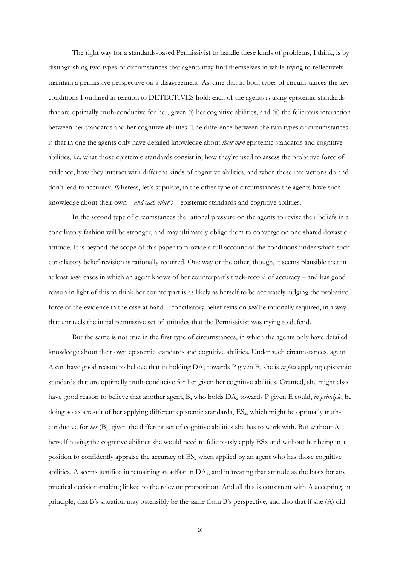The right way for a standards-based Permissivist to handle these kinds of problems, I think, is by distinguishing two types of circumstances that agents may find themselves in while trying to reflectively maintain a permissive perspective on a disagreement. Assume that in both types of circumstances the key conditions I outlined in relation to DETECTIVES hold: each of the agents is using epistemic standards that are optimally truth-conducive for her, given (i) her cognitive abilities, and (ii) the felicitous interaction between her standards and her cognitive abilities. The difference between the two types of circumstances is that in one the agents only have detailed knowledge about *their own* epistemic standards and cognitive abilities, i.e. what those epistemic standards consist in, how they're used to assess the probative force of evidence, how they interact with different kinds of cognitive abilities, and when these interactions do and don't lead to accuracy. Whereas, let's stipulate, in the other type of circumstances the agents have such knowledge about their own – *and each other's* – epistemic standards and cognitive abilities.

In the second type of circumstances the rational pressure on the agents to revise their beliefs in a conciliatory fashion will be stronger, and may ultimately oblige them to converge on one shared doxastic attitude. It is beyond the scope of this paper to provide a full account of the conditions under which such conciliatory belief-revision is rationally required. One way or the other, though, it seems plausible that in at least *some* cases in which an agent knows of her counterpart's track-record of accuracy – and has good reason in light of this to think her counterpart is as likely as herself to be accurately judging the probative force of the evidence in the case at hand – conciliatory belief revision *will* be rationally required, in a way that unravels the initial permissive set of attitudes that the Permissivist was trying to defend.

But the same is not true in the first type of circumstances, in which the agents only have detailed knowledge about their own epistemic standards and cognitive abilities. Under such circumstances, agent A can have good reason to believe that in holding DA<sup>1</sup> towards P given E, she is *in fact* applying epistemic standards that are optimally truth-conducive for her given her cognitive abilities. Granted, she might also have good reason to believe that another agent, B, who holds DA<sup>2</sup> towards P given E could, *in principle*, be doing so as a result of her applying different epistemic standards, ES<sub>2</sub>, which might be optimally truthconducive for *her* (B), given the different set of cognitive abilities she has to work with. But without A herself having the cognitive abilities she would need to felicitously apply ES<sub>2</sub>, and without her being in a position to confidently appraise the accuracy of ES<sub>2</sub> when applied by an agent who has those cognitive abilities, A seems justified in remaining steadfast in  $DA<sub>1</sub>$ , and in treating that attitude as the basis for any practical decision-making linked to the relevant proposition. And all this is consistent with A accepting, in principle, that B's situation may ostensibly be the same from B's perspective, and also that if she (A) did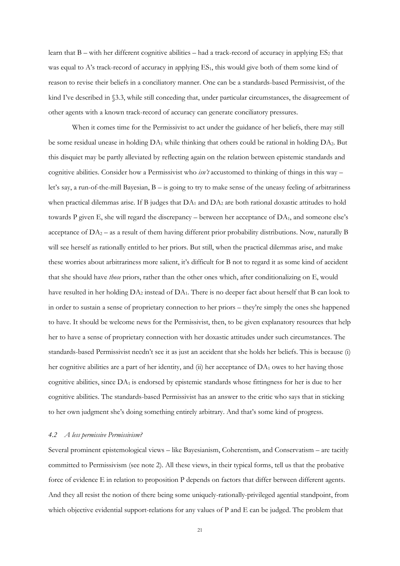learn that  $B$  – with her different cognitive abilities – had a track-record of accuracy in applying  $ES_2$  that was equal to A's track-record of accuracy in applying  $ES<sub>1</sub>$ , this would give both of them some kind of reason to revise their beliefs in a conciliatory manner. One can be a standards-based Permissivist, of the kind I've described in §3.3, while still conceding that, under particular circumstances, the disagreement of other agents with a known track-record of accuracy can generate conciliatory pressures.

When it comes time for the Permissivist to act under the guidance of her beliefs, there may still be some residual unease in holding DA<sub>1</sub> while thinking that others could be rational in holding DA<sub>2</sub>. But this disquiet may be partly alleviated by reflecting again on the relation between epistemic standards and cognitive abilities. Consider how a Permissivist who *isn't* accustomed to thinking of things in this way – let's say, a run-of-the-mill Bayesian, B – is going to try to make sense of the uneasy feeling of arbitrariness when practical dilemmas arise. If B judges that  $DA_1$  and  $DA_2$  are both rational doxastic attitudes to hold towards P given E, she will regard the discrepancy – between her acceptance of DA<sub>1</sub>, and someone else's acceptance of  $DA_2$  – as a result of them having different prior probability distributions. Now, naturally B will see herself as rationally entitled to her priors. But still, when the practical dilemmas arise, and make these worries about arbitrariness more salient, it's difficult for B not to regard it as some kind of accident that she should have *those* priors, rather than the other ones which, after conditionalizing on E, would have resulted in her holding  $DA_2$  instead of  $DA_1$ . There is no deeper fact about herself that B can look to in order to sustain a sense of proprietary connection to her priors – they're simply the ones she happened to have. It should be welcome news for the Permissivist, then, to be given explanatory resources that help her to have a sense of proprietary connection with her doxastic attitudes under such circumstances. The standards-based Permissivist needn't see it as just an accident that she holds her beliefs. This is because (i) her cognitive abilities are a part of her identity, and (ii) her acceptance of DA<sub>1</sub> owes to her having those cognitive abilities, since  $DA_1$  is endorsed by epistemic standards whose fittingness for her is due to her cognitive abilities. The standards-based Permissivist has an answer to the critic who says that in sticking to her own judgment she's doing something entirely arbitrary. And that's some kind of progress.

#### *4.2 A less permissive Permissivism?*

Several prominent epistemological views – like Bayesianism, Coherentism, and Conservatism – are tacitly committed to Permissivism (see note 2). All these views, in their typical forms, tell us that the probative force of evidence E in relation to proposition P depends on factors that differ between different agents. And they all resist the notion of there being some uniquely-rationally-privileged agential standpoint, from which objective evidential support-relations for any values of P and E can be judged. The problem that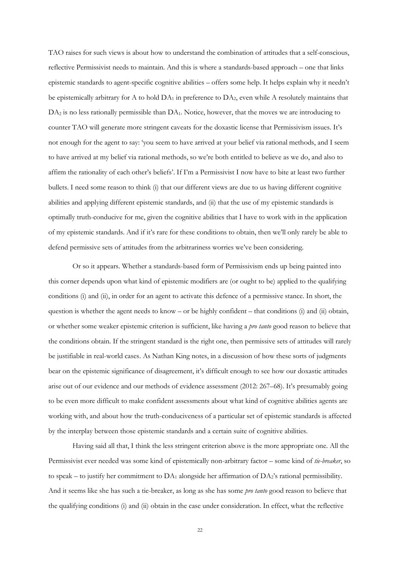TAO raises for such views is about how to understand the combination of attitudes that a self-conscious, reflective Permissivist needs to maintain. And this is where a standards-based approach – one that links epistemic standards to agent-specific cognitive abilities – offers some help. It helps explain why it needn't be epistemically arbitrary for A to hold  $DA_1$  in preference to  $DA_2$ , even while A resolutely maintains that  $DA<sub>2</sub>$  is no less rationally permissible than  $DA<sub>1</sub>$ . Notice, however, that the moves we are introducing to counter TAO will generate more stringent caveats for the doxastic license that Permissivism issues. It's not enough for the agent to say: 'you seem to have arrived at your belief via rational methods, and I seem to have arrived at my belief via rational methods, so we're both entitled to believe as we do, and also to affirm the rationality of each other's beliefs'. If I'm a Permissivist I now have to bite at least two further bullets. I need some reason to think (i) that our different views are due to us having different cognitive abilities and applying different epistemic standards, and (ii) that the use of my epistemic standards is optimally truth-conducive for me, given the cognitive abilities that I have to work with in the application of my epistemic standards. And if it's rare for these conditions to obtain, then we'll only rarely be able to defend permissive sets of attitudes from the arbitrariness worries we've been considering.

Or so it appears. Whether a standards-based form of Permissivism ends up being painted into this corner depends upon what kind of epistemic modifiers are (or ought to be) applied to the qualifying conditions (i) and (ii), in order for an agent to activate this defence of a permissive stance. In short, the question is whether the agent needs to know – or be highly confident – that conditions (i) and (ii) obtain, or whether some weaker epistemic criterion is sufficient, like having a *pro tanto* good reason to believe that the conditions obtain. If the stringent standard is the right one, then permissive sets of attitudes will rarely be justifiable in real-world cases. As Nathan King notes, in a discussion of how these sorts of judgments bear on the epistemic significance of disagreement, it's difficult enough to see how our doxastic attitudes arise out of our evidence and our methods of evidence assessment (2012: 267–68). It's presumably going to be even more difficult to make confident assessments about what kind of cognitive abilities agents are working with, and about how the truth-conduciveness of a particular set of epistemic standards is affected by the interplay between those epistemic standards and a certain suite of cognitive abilities.

Having said all that, I think the less stringent criterion above is the more appropriate one. All the Permissivist ever needed was some kind of epistemically non-arbitrary factor – some kind of *tie-breaker*, so to speak – to justify her commitment to  $DA_1$  alongside her affirmation of  $DA_2$ 's rational permissibility. And it seems like she has such a tie-breaker, as long as she has some *pro tanto* good reason to believe that the qualifying conditions (i) and (ii) obtain in the case under consideration. In effect, what the reflective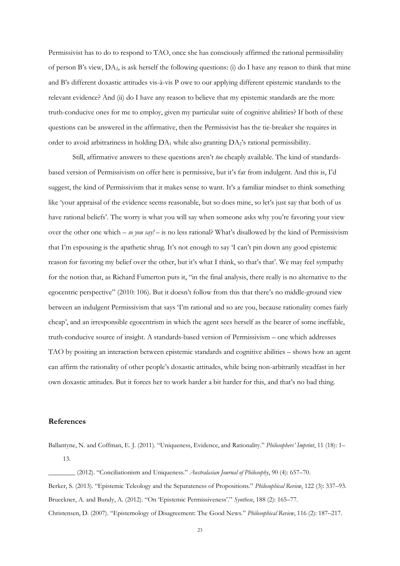Permissivist has to do to respond to TAO, once she has consciously affirmed the rational permissibility of person B's view, DA2, is ask herself the following questions: (i) do I have any reason to think that mine and B's different doxastic attitudes vis-à-vis P owe to our applying different epistemic standards to the relevant evidence? And (ii) do I have any reason to believe that my epistemic standards are the more truth-conducive ones for me to employ, given my particular suite of cognitive abilities? If both of these questions can be answered in the affirmative, then the Permissivist has the tie-breaker she requires in order to avoid arbitrariness in holding  $DA_1$  while also granting  $DA_2$ 's rational permissibility.

Still, affirmative answers to these questions aren't *too* cheaply available. The kind of standardsbased version of Permissivism on offer here is permissive, but it's far from indulgent. And this is, I'd suggest, the kind of Permissivism that it makes sense to want. It's a familiar mindset to think something like 'your appraisal of the evidence seems reasonable, but so does mine, so let's just say that both of us have rational beliefs'. The worry is what you will say when someone asks why you're favoring your view over the other one which – *so you say!* – is no less rational? What's disallowed by the kind of Permissivism that I'm espousing is the apathetic shrug. It's not enough to say 'I can't pin down any good epistemic reason for favoring my belief over the other, but it's what I think, so that's that'. We may feel sympathy for the notion that, as Richard Fumerton puts it, "in the final analysis, there really is no alternative to the egocentric perspective" (2010: 106). But it doesn't follow from this that there's no middle-ground view between an indulgent Permissivism that says 'I'm rational and so are you, because rationality comes fairly cheap', and an irresponsible egocentrism in which the agent sees herself as the bearer of some ineffable, truth-conducive source of insight. A standards-based version of Permissivism – one which addresses TAO by positing an interaction between epistemic standards and cognitive abilities – shows how an agent can affirm the rationality of other people's doxastic attitudes, while being non-arbitrarily steadfast in her own doxastic attitudes. But it forces her to work harder a bit harder for this, and that's no bad thing.

## **References**

Ballantyne, N. and Coffman, E. J. (2011). "Uniqueness, Evidence, and Rationality." *Philosophers' Imprint*, 11 (18): 1– 13.

\_\_\_\_\_\_\_\_ (2012). "Conciliationism and Uniqueness." *Australasian Journal of Philosophy*, 90 (4): 657–70. Berker, S. (2013). "Epistemic Teleology and the Separateness of Propositions." *Philosophical Review*, 122 (3): 337–93. Brueckner, A. and Bundy, A. (2012). "On 'Epistemic Permissiveness'." *Synthese*, 188 (2): 165–77. Christensen, D. (2007). "Epistemology of Disagreement: The Good News." *Philosophical Review*, 116 (2): 187–217.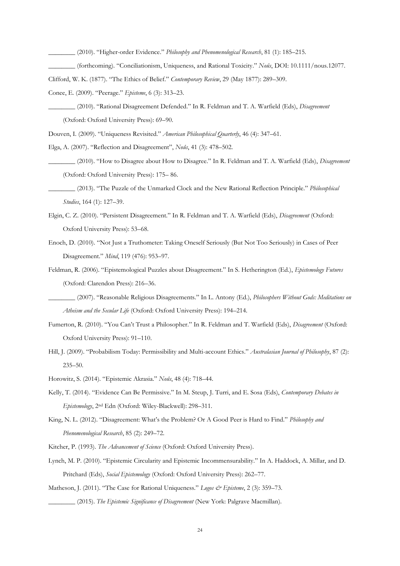\_\_\_\_\_\_\_\_ (2010). "Higher-order Evidence." *Philosophy and Phenomenological Research*, 81 (1): 185–215.

- \_\_\_\_\_\_\_\_ (forthcoming). "Conciliationism, Uniqueness, and Rational Toxicity." *Noûs*, DOI: 10.1111/nous.12077.
- Clifford, W. K. (1877). "The Ethics of Belief." *Contemporary Review*, 29 (May 1877): 289–309.
- Conee, E. (2009). "Peerage." *Episteme*, 6 (3): 313–23.
- \_\_\_\_\_\_\_\_ (2010). "Rational Disagreement Defended." In R. Feldman and T. A. Warfield (Eds), *Disagreement* (Oxford: Oxford University Press): 69–90.

Douven, I. (2009). "Uniqueness Revisited." *American Philosophical Quarterly*, 46 (4): 347–61.

- Elga, A. (2007). "Reflection and Disagreement", *Noûs*, 41 (3): 478–502.
	- \_\_\_\_\_\_\_\_ (2010). "How to Disagree about How to Disagree." In R. Feldman and T. A. Warfield (Eds), *Disagreement* (Oxford: Oxford University Press): 175– 86.
- \_\_\_\_\_\_\_\_ (2013). "The Puzzle of the Unmarked Clock and the New Rational Reflection Principle." *Philosophical Studies*, 164 (1): 127–39.
- Elgin, C. Z. (2010). "Persistent Disagreement." In R. Feldman and T. A. Warfield (Eds), *Disagreement* (Oxford: Oxford University Press): 53–68.
- Enoch, D. (2010). "Not Just a Truthometer: Taking Oneself Seriously (But Not Too Seriously) in Cases of Peer Disagreement." *Mind*, 119 (476): 953–97.

Feldman, R. (2006). "Epistemological Puzzles about Disagreement." In S. Hetherington (Ed.), *Epistemology Futures* (Oxford: Clarendon Press): 216–36.

- \_\_\_\_\_\_\_\_ (2007). "Reasonable Religious Disagreements." In L. Antony (Ed.), *Philosophers Without Gods: Meditations on Atheism and the Secular Life* (Oxford: Oxford University Press): 194–214.
- Fumerton, R. (2010). "You Can't Trust a Philosopher." In R. Feldman and T. Warfield (Eds), *Disagreement* (Oxford: Oxford University Press): 91–110.
- Hill, J. (2009). "Probabilism Today: Permissibility and Multi-account Ethics." *Australasian Journal of Philosophy*, 87 (2): 235–50.
- Horowitz, S. (2014). "Epistemic Akrasia." *Noûs*, 48 (4): 718–44.
- Kelly, T. (2014). "Evidence Can Be Permissive." In M. Steup, J. Turri, and E. Sosa (Eds), *Contemporary Debates in Epistemology*, 2nd Edn (Oxford: Wiley-Blackwell): 298–311.
- King, N. L. (2012). "Disagreement: What's the Problem? Or A Good Peer is Hard to Find." *Philosophy and Phenomenological Research*, 85 (2): 249–72.
- Kitcher, P. (1993). *The Advancement of Science* (Oxford: Oxford University Press).
- Lynch, M. P. (2010). "Epistemic Circularity and Epistemic Incommensurability." In A. Haddock, A. Millar, and D. Pritchard (Eds), *Social Epistemology* (Oxford: Oxford University Press): 262–77.
- Matheson, J. (2011). "The Case for Rational Uniqueness." *Logos & Episteme*, 2 (3): 359–73.

\_\_\_\_\_\_\_\_ (2015). *The Epistemic Significance of Disagreement* (New York: Palgrave Macmillan).